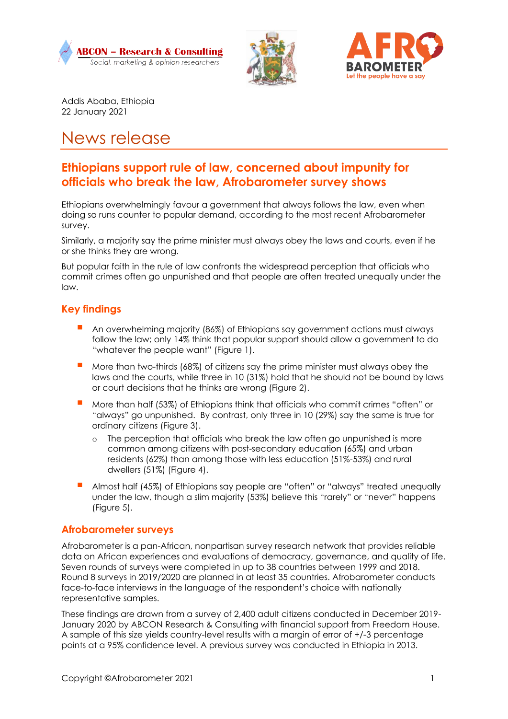





Addis Ababa, Ethiopia 22 January 2021

# News release

# **Ethiopians support rule of law, concerned about impunity for officials who break the law, Afrobarometer survey shows**

Ethiopians overwhelmingly favour a government that always follows the law, even when doing so runs counter to popular demand, according to the most recent Afrobarometer survey.

Similarly, a majority say the prime minister must always obey the laws and courts, even if he or she thinks they are wrong.

But popular faith in the rule of law confronts the widespread perception that officials who commit crimes often go unpunished and that people are often treated unequally under the law.

## **Key findings**

- An overwhelming majority (86%) of Ethiopians say government actions must always follow the law; only 14% think that popular support should allow a government to do "whatever the people want" (Figure 1).
- More than two-thirds (68%) of citizens say the prime minister must always obey the laws and the courts, while three in 10 (31%) hold that he should not be bound by laws or court decisions that he thinks are wrong (Figure 2).
- More than half (53%) of Ethiopians think that officials who commit crimes "often" or "always" go unpunished. By contrast, only three in 10 (29%) say the same is true for ordinary citizens (Figure 3).
	- o The perception that officials who break the law often go unpunished is more common among citizens with post-secondary education (65%) and urban residents (62%) than among those with less education (51%-53%) and rural dwellers (51%) (Figure 4).
- Almost half (45%) of Ethiopians say people are "often" or "always" treated unequally under the law, though a slim majority (53%) believe this "rarely" or "never" happens (Figure 5).

#### **Afrobarometer surveys**

Afrobarometer is a pan-African, nonpartisan survey research network that provides reliable data on African experiences and evaluations of democracy, governance, and quality of life. Seven rounds of surveys were completed in up to 38 countries between 1999 and 2018. Round 8 surveys in 2019/2020 are planned in at least 35 countries. Afrobarometer conducts face-to-face interviews in the language of the respondent's choice with nationally representative samples.

These findings are drawn from a survey of 2,400 adult citizens conducted in December 2019- January 2020 by ABCON Research & Consulting with financial support from Freedom House. A sample of this size yields country-level results with a margin of error of +/-3 percentage points at a 95% confidence level. A previous survey was conducted in Ethiopia in 2013.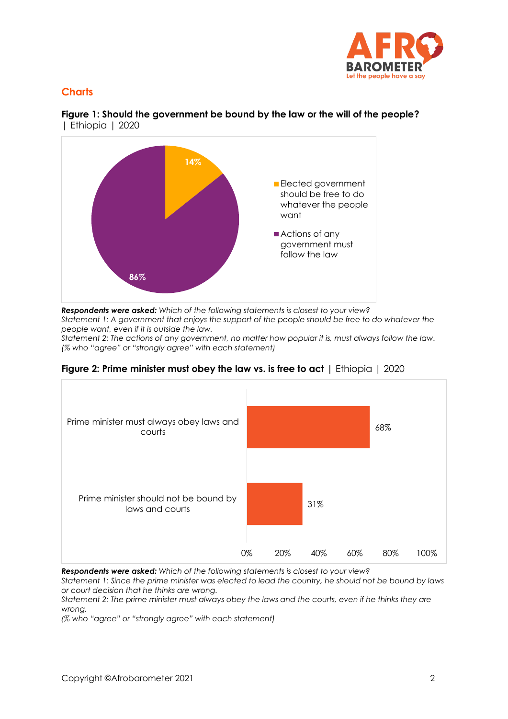

# **Charts**



**Figure 1: Should the government be bound by the law or the will of the people?**  | Ethiopia | 2020

*Respondents were asked: Which of the following statements is closest to your view?*

*Statement 1: A government that enjoys the support of the people should be free to do whatever the people want, even if it is outside the law.*

*Statement 2: The actions of any government, no matter how popular it is, must always follow the law. (% who "agree" or "strongly agree" with each statement)*

**Figure 2: Prime minister must obey the law vs. is free to act** | Ethiopia | 2020



*Respondents were asked: Which of the following statements is closest to your view?*

*Statement 1: Since the prime minister was elected to lead the country, he should not be bound by laws or court decision that he thinks are wrong.*

*Statement 2: The prime minister must always obey the laws and the courts, even if he thinks they are wrong.*

*(% who "agree" or "strongly agree" with each statement)*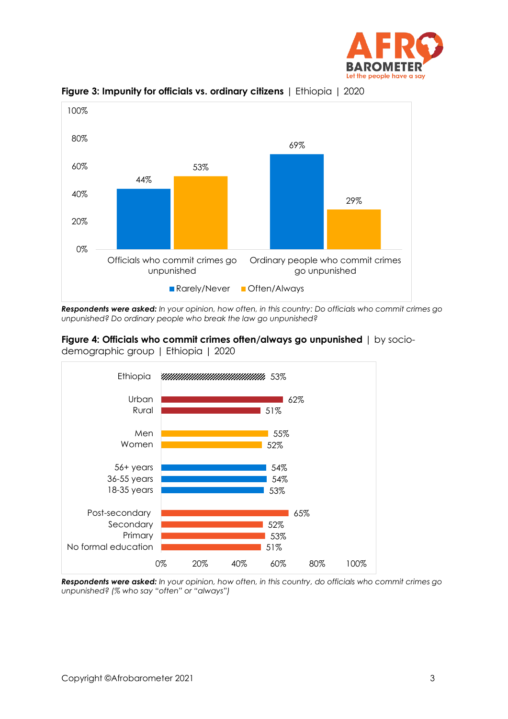



**Figure 3: Impunity for officials vs. ordinary citizens** | Ethiopia | 2020

*Respondents were asked: In your opinion, how often, in this country: Do officials who commit crimes go unpunished? Do ordinary people who break the law go unpunished?* 





*Respondents were asked: In your opinion, how often, in this country, do officials who commit crimes go unpunished? (% who say "often" or "always")*